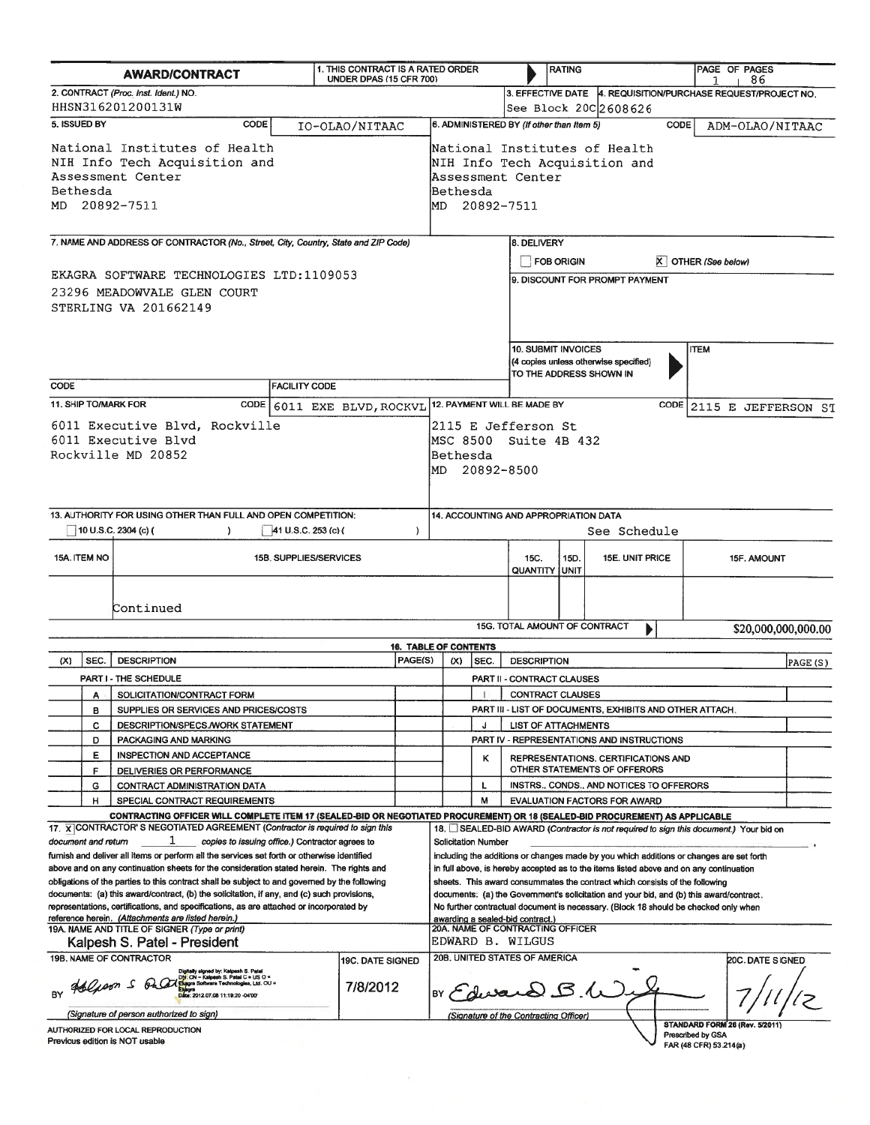| <b>AWARD/CONTRACT</b>                                                                                                                                                                                                                                                                                                                                                                                                                                                                                                                                                                                                                                                                                                                                                                                                                                                                                                                                                     |                                                                                                                  |                                                                      |  | 1. THIS CONTRACT IS A RATED ORDER<br><b>UNDER DPAS (15 CFR 700)</b>                       |                                                                                                                                                                                                                                                                                                                                                                                                                                                                                                                                                                                                                                                                                                                                  |                                                                                                                                               | <b>RATING</b>                       |                                                                                         |                                                          |                                                                | PAGE OF PAGES<br>86                                                             |                    |                                             |                     |  |  |
|---------------------------------------------------------------------------------------------------------------------------------------------------------------------------------------------------------------------------------------------------------------------------------------------------------------------------------------------------------------------------------------------------------------------------------------------------------------------------------------------------------------------------------------------------------------------------------------------------------------------------------------------------------------------------------------------------------------------------------------------------------------------------------------------------------------------------------------------------------------------------------------------------------------------------------------------------------------------------|------------------------------------------------------------------------------------------------------------------|----------------------------------------------------------------------|--|-------------------------------------------------------------------------------------------|----------------------------------------------------------------------------------------------------------------------------------------------------------------------------------------------------------------------------------------------------------------------------------------------------------------------------------------------------------------------------------------------------------------------------------------------------------------------------------------------------------------------------------------------------------------------------------------------------------------------------------------------------------------------------------------------------------------------------------|-----------------------------------------------------------------------------------------------------------------------------------------------|-------------------------------------|-----------------------------------------------------------------------------------------|----------------------------------------------------------|----------------------------------------------------------------|---------------------------------------------------------------------------------|--------------------|---------------------------------------------|---------------------|--|--|
| 2. CONTRACT (Proc. Inst. Ident.) NO.                                                                                                                                                                                                                                                                                                                                                                                                                                                                                                                                                                                                                                                                                                                                                                                                                                                                                                                                      |                                                                                                                  |                                                                      |  |                                                                                           |                                                                                                                                                                                                                                                                                                                                                                                                                                                                                                                                                                                                                                                                                                                                  |                                                                                                                                               |                                     |                                                                                         |                                                          | 3. EFFECTIVE DATE   4. REQUISITION/PURCHASE REQUEST/PROJECT NO |                                                                                 |                    |                                             |                     |  |  |
| HHSN316201200131W<br>5. ISSUED BY<br>CODE<br>IO-OLAO/NITAAC                                                                                                                                                                                                                                                                                                                                                                                                                                                                                                                                                                                                                                                                                                                                                                                                                                                                                                               |                                                                                                                  |                                                                      |  |                                                                                           |                                                                                                                                                                                                                                                                                                                                                                                                                                                                                                                                                                                                                                                                                                                                  |                                                                                                                                               |                                     |                                                                                         |                                                          |                                                                | See Block 20C 2608626                                                           |                    |                                             |                     |  |  |
|                                                                                                                                                                                                                                                                                                                                                                                                                                                                                                                                                                                                                                                                                                                                                                                                                                                                                                                                                                           | National Institutes of Health<br>NIH Info Tech Acquisition and<br>Assessment Center<br>Bethesda<br>MD 20892-7511 | Assessment Center<br>Bethesda<br>MD 20892-7511                       |  |                                                                                           |                                                                                                                                                                                                                                                                                                                                                                                                                                                                                                                                                                                                                                                                                                                                  | 6. ADMINISTERED BY (If other than Item 5)<br><b>CODE</b><br>ADM-OLAO/NITAAC<br>National Institutes of Health<br>NIH Info Tech Acquisition and |                                     |                                                                                         |                                                          |                                                                |                                                                                 |                    |                                             |                     |  |  |
| 7. NAME AND ADDRESS OF CONTRACTOR (No., Street, City, Country, State and ZIP Code)                                                                                                                                                                                                                                                                                                                                                                                                                                                                                                                                                                                                                                                                                                                                                                                                                                                                                        |                                                                                                                  |                                                                      |  |                                                                                           |                                                                                                                                                                                                                                                                                                                                                                                                                                                                                                                                                                                                                                                                                                                                  |                                                                                                                                               |                                     |                                                                                         | 8. DELIVERY<br><b>FOB ORIGIN</b><br>X OTHER (See below)  |                                                                |                                                                                 |                    |                                             |                     |  |  |
| EKAGRA SOFTWARE TECHNOLOGIES LTD:1109053<br>23296 MEADOWVALE GLEN COURT<br>STERLING VA 201662149                                                                                                                                                                                                                                                                                                                                                                                                                                                                                                                                                                                                                                                                                                                                                                                                                                                                          |                                                                                                                  |                                                                      |  |                                                                                           |                                                                                                                                                                                                                                                                                                                                                                                                                                                                                                                                                                                                                                                                                                                                  |                                                                                                                                               |                                     |                                                                                         |                                                          |                                                                | 9. DISCOUNT FOR PROMPT PAYMENT                                                  |                    |                                             |                     |  |  |
| CODE<br><b>FACILITY CODE</b>                                                                                                                                                                                                                                                                                                                                                                                                                                                                                                                                                                                                                                                                                                                                                                                                                                                                                                                                              |                                                                                                                  |                                                                      |  |                                                                                           |                                                                                                                                                                                                                                                                                                                                                                                                                                                                                                                                                                                                                                                                                                                                  |                                                                                                                                               |                                     | 10. SUBMIT INVOICES<br>(4 copies unless otherwise specified)<br>TO THE ADDRESS SHOWN IN |                                                          |                                                                |                                                                                 | <b>ITEM</b>        |                                             |                     |  |  |
|                                                                                                                                                                                                                                                                                                                                                                                                                                                                                                                                                                                                                                                                                                                                                                                                                                                                                                                                                                           |                                                                                                                  | 11. SHIP TO/MARK FOR<br>CODE                                         |  |                                                                                           |                                                                                                                                                                                                                                                                                                                                                                                                                                                                                                                                                                                                                                                                                                                                  |                                                                                                                                               |                                     |                                                                                         | 12. PAYMENT WILL BE MADE BY                              |                                                                |                                                                                 |                    |                                             |                     |  |  |
| 6011 EXE BLVD, ROCKVL<br>6011 Executive Blvd, Rockville<br>6011 Executive Blvd<br>Rockville MD 20852                                                                                                                                                                                                                                                                                                                                                                                                                                                                                                                                                                                                                                                                                                                                                                                                                                                                      |                                                                                                                  |                                                                      |  |                                                                                           |                                                                                                                                                                                                                                                                                                                                                                                                                                                                                                                                                                                                                                                                                                                                  | CODE 2115 E JEFFERSON ST<br>2115 E Jefferson St<br>MSC 8500 Suite 4B 432<br>Bethesda<br>MD 20892-8500                                         |                                     |                                                                                         |                                                          |                                                                |                                                                                 |                    |                                             |                     |  |  |
| 13. AUTHORITY FOR USING OTHER THAN FULL AND OPEN COMPETITION:<br>10 U.S.C. 2304 (c) (<br>41 U.S.C. 253 (c) (<br><sup>1</sup><br>$\lambda$                                                                                                                                                                                                                                                                                                                                                                                                                                                                                                                                                                                                                                                                                                                                                                                                                                 |                                                                                                                  |                                                                      |  |                                                                                           |                                                                                                                                                                                                                                                                                                                                                                                                                                                                                                                                                                                                                                                                                                                                  | 14. ACCOUNTING AND APPROPRIATION DATA<br>See Schedule                                                                                         |                                     |                                                                                         |                                                          |                                                                |                                                                                 |                    |                                             |                     |  |  |
|                                                                                                                                                                                                                                                                                                                                                                                                                                                                                                                                                                                                                                                                                                                                                                                                                                                                                                                                                                           | 15A. ITEM NO                                                                                                     | 15B. SUPPLIES/SERVICES                                               |  |                                                                                           |                                                                                                                                                                                                                                                                                                                                                                                                                                                                                                                                                                                                                                                                                                                                  |                                                                                                                                               |                                     |                                                                                         | 15D.<br>15C.<br>15E. UNIT PRICE<br><b>QUANTITY UNIT</b>  |                                                                |                                                                                 | <b>15F. AMOUNT</b> |                                             |                     |  |  |
|                                                                                                                                                                                                                                                                                                                                                                                                                                                                                                                                                                                                                                                                                                                                                                                                                                                                                                                                                                           |                                                                                                                  | Continued                                                            |  |                                                                                           |                                                                                                                                                                                                                                                                                                                                                                                                                                                                                                                                                                                                                                                                                                                                  |                                                                                                                                               |                                     |                                                                                         |                                                          |                                                                |                                                                                 |                    |                                             |                     |  |  |
|                                                                                                                                                                                                                                                                                                                                                                                                                                                                                                                                                                                                                                                                                                                                                                                                                                                                                                                                                                           |                                                                                                                  |                                                                      |  |                                                                                           |                                                                                                                                                                                                                                                                                                                                                                                                                                                                                                                                                                                                                                                                                                                                  |                                                                                                                                               |                                     |                                                                                         | 15G. TOTAL AMOUNT OF CONTRACT                            |                                                                |                                                                                 |                    |                                             | \$20,000,000,000.00 |  |  |
| (X)                                                                                                                                                                                                                                                                                                                                                                                                                                                                                                                                                                                                                                                                                                                                                                                                                                                                                                                                                                       | SEC.                                                                                                             | <b>DESCRIPTION</b>                                                   |  |                                                                                           | PAGE(S)                                                                                                                                                                                                                                                                                                                                                                                                                                                                                                                                                                                                                                                                                                                          |                                                                                                                                               | <b>16. TABLE OF CONTENTS</b><br>(X) | SEC.                                                                                    | <b>DESCRIPTION</b>                                       |                                                                |                                                                                 |                    |                                             | PAGE(S)             |  |  |
|                                                                                                                                                                                                                                                                                                                                                                                                                                                                                                                                                                                                                                                                                                                                                                                                                                                                                                                                                                           |                                                                                                                  | PART I - THE SCHEDULE                                                |  |                                                                                           |                                                                                                                                                                                                                                                                                                                                                                                                                                                                                                                                                                                                                                                                                                                                  |                                                                                                                                               |                                     |                                                                                         | <b>PART II - CONTRACT CLAUSES</b>                        |                                                                |                                                                                 |                    |                                             |                     |  |  |
|                                                                                                                                                                                                                                                                                                                                                                                                                                                                                                                                                                                                                                                                                                                                                                                                                                                                                                                                                                           |                                                                                                                  | SOLICITATION/CONTRACT FORM                                           |  |                                                                                           |                                                                                                                                                                                                                                                                                                                                                                                                                                                                                                                                                                                                                                                                                                                                  |                                                                                                                                               |                                     |                                                                                         | CONTRACT CLAUSES                                         |                                                                |                                                                                 |                    |                                             |                     |  |  |
|                                                                                                                                                                                                                                                                                                                                                                                                                                                                                                                                                                                                                                                                                                                                                                                                                                                                                                                                                                           | в                                                                                                                | SUPPLIES OR SERVICES AND PRICES/COSTS                                |  |                                                                                           |                                                                                                                                                                                                                                                                                                                                                                                                                                                                                                                                                                                                                                                                                                                                  |                                                                                                                                               |                                     |                                                                                         | PART III - LIST OF DOCUMENTS, EXHIBITS AND OTHER ATTACH. |                                                                |                                                                                 |                    |                                             |                     |  |  |
|                                                                                                                                                                                                                                                                                                                                                                                                                                                                                                                                                                                                                                                                                                                                                                                                                                                                                                                                                                           | c                                                                                                                | DESCRIPTION/SPECS./WORK STATEMENT                                    |  |                                                                                           |                                                                                                                                                                                                                                                                                                                                                                                                                                                                                                                                                                                                                                                                                                                                  |                                                                                                                                               |                                     | J                                                                                       | <b>LIST OF ATTACHMENTS</b>                               |                                                                |                                                                                 |                    |                                             |                     |  |  |
|                                                                                                                                                                                                                                                                                                                                                                                                                                                                                                                                                                                                                                                                                                                                                                                                                                                                                                                                                                           | D                                                                                                                | PACKAGING AND MARKING                                                |  |                                                                                           |                                                                                                                                                                                                                                                                                                                                                                                                                                                                                                                                                                                                                                                                                                                                  |                                                                                                                                               |                                     |                                                                                         | PART IV - REPRESENTATIONS AND INSTRUCTIONS               |                                                                |                                                                                 |                    |                                             |                     |  |  |
|                                                                                                                                                                                                                                                                                                                                                                                                                                                                                                                                                                                                                                                                                                                                                                                                                                                                                                                                                                           | E<br>INSPECTION AND ACCEPTANCE                                                                                   |                                                                      |  |                                                                                           |                                                                                                                                                                                                                                                                                                                                                                                                                                                                                                                                                                                                                                                                                                                                  |                                                                                                                                               | κ                                   |                                                                                         | REPRESENTATIONS, CERTIFICATIONS AND                      |                                                                |                                                                                 |                    |                                             |                     |  |  |
|                                                                                                                                                                                                                                                                                                                                                                                                                                                                                                                                                                                                                                                                                                                                                                                                                                                                                                                                                                           | F                                                                                                                | DELIVERIES OR PERFORMANCE                                            |  |                                                                                           |                                                                                                                                                                                                                                                                                                                                                                                                                                                                                                                                                                                                                                                                                                                                  |                                                                                                                                               |                                     |                                                                                         |                                                          |                                                                | OTHER STATEMENTS OF OFFERORS                                                    |                    |                                             |                     |  |  |
|                                                                                                                                                                                                                                                                                                                                                                                                                                                                                                                                                                                                                                                                                                                                                                                                                                                                                                                                                                           | G<br>н                                                                                                           | <b>CONTRACT ADMINISTRATION DATA</b><br>SPECIAL CONTRACT REQUIREMENTS |  |                                                                                           |                                                                                                                                                                                                                                                                                                                                                                                                                                                                                                                                                                                                                                                                                                                                  |                                                                                                                                               |                                     | L<br>M                                                                                  |                                                          |                                                                | INSTRS., CONDS., AND NOTICES TO OFFERORS<br><b>EVALUATION FACTORS FOR AWARD</b> |                    |                                             |                     |  |  |
| CONTRACTING OFFICER WILL COMPLETE ITEM 17 (SEALED-BID OR NEGOTIATED PROCUREMENT) OR 18 (SEALED-BID PROCUREMENT) AS APPLICABLE<br>17. X CONTRACTOR'S NEGOTIATED AGREEMENT (Contractor is required to sign this<br>copies to issuing office.) Contractor agrees to<br>document and return<br>furnish and deliver all items or perform all the services set forth or otherwise identified<br>above and on any continuation sheets for the consideration stated herein. The rights and<br>obligations of the parties to this contract shall be subject to and governed by the following<br>documents: (a) this award/contract, (b) the solicitation, if any, and (c) such provisions,<br>representations, certifications, and specifications, as are attached or incorporated by<br>reference herein. (Attachments are listed herein.)<br>19A. NAME AND TITLE OF SIGNER (Type or print)<br>Kalpesh S. Patel - President<br>19B. NAME OF CONTRACTOR<br><b>19C. DATE SIGNED</b> |                                                                                                                  |                                                                      |  |                                                                                           | 18. SEALED-BID AWARD (Contractor is not required to sign this document.) Your bid on<br><b>Solicitation Number</b><br>including the additions or changes made by you which additions or changes are set forth<br>in full above, is hereby accepted as to the items listed above and on any continuation<br>sheets. This award consummates the contract which consists of the following<br>documents: (a) the Government's solicitation and your bid, and (b) this award/contract.<br>No further contractual document is necessary. (Block 18 should be checked only when<br>awarding a sealed-bid contract.)<br>20A. NAME OF CONTRACTING OFFICER<br>EDWARD B. WILGUS<br>20B. UNITED STATES OF AMERICA<br><b>20C. DATE SIGNED</b> |                                                                                                                                               |                                     |                                                                                         |                                                          |                                                                |                                                                                 |                    |                                             |                     |  |  |
| Digitally signed by: Kalpesh S. Pate<br>I <mark>N:</mark> CN = Kalpesh S. Patel C = US O =<br>BY dolpoon 5 ora<br><b>kagra Software Technologies, Ltd. OU =</b><br>7/8/2012<br>Date: 2012.07.08 11:19:20 -04'00"<br>(Signature of person authorized to sign)                                                                                                                                                                                                                                                                                                                                                                                                                                                                                                                                                                                                                                                                                                              |                                                                                                                  |                                                                      |  | BY Edward B.W<br>(Signature of the Contracting Officer)<br>STANDARD FORM 26 (Rev. 5/2011) |                                                                                                                                                                                                                                                                                                                                                                                                                                                                                                                                                                                                                                                                                                                                  |                                                                                                                                               |                                     |                                                                                         |                                                          |                                                                |                                                                                 |                    |                                             |                     |  |  |
|                                                                                                                                                                                                                                                                                                                                                                                                                                                                                                                                                                                                                                                                                                                                                                                                                                                                                                                                                                           |                                                                                                                  | AUTHORIZED FOR LOCAL REPRODUCTION<br>Previous edition is NOT usable  |  |                                                                                           |                                                                                                                                                                                                                                                                                                                                                                                                                                                                                                                                                                                                                                                                                                                                  |                                                                                                                                               |                                     |                                                                                         |                                                          |                                                                |                                                                                 |                    | Prescribed by GSA<br>FAR (48 CFR) 53.214(a) |                     |  |  |